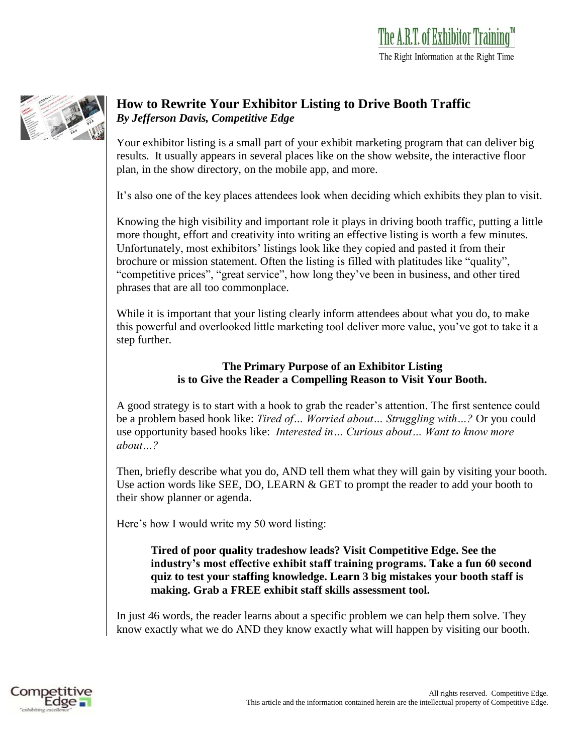

## **How to Rewrite Your Exhibitor Listing to Drive Booth Traffic** *By Jefferson Davis, Competitive Edge*

Your exhibitor listing is a small part of your exhibit marketing program that can deliver big results. It usually appears in several places like on the show website, the interactive floor plan, in the show directory, on the mobile app, and more.

It's also one of the key places attendees look when deciding which exhibits they plan to visit.

Knowing the high visibility and important role it plays in driving booth traffic, putting a little more thought, effort and creativity into writing an effective listing is worth a few minutes. Unfortunately, most exhibitors' listings look like they copied and pasted it from their brochure or mission statement. Often the listing is filled with platitudes like "quality", "competitive prices", "great service", how long they've been in business, and other tired phrases that are all too commonplace.

While it is important that your listing clearly inform attendees about what you do, to make this powerful and overlooked little marketing tool deliver more value, you've got to take it a step further.

## **The Primary Purpose of an Exhibitor Listing is to Give the Reader a Compelling Reason to Visit Your Booth.**

A good strategy is to start with a hook to grab the reader's attention. The first sentence could be a problem based hook like: *Tired of… Worried about… Struggling with…?* Or you could use opportunity based hooks like: *Interested in… Curious about… Want to know more about…?*

Then, briefly describe what you do, AND tell them what they will gain by visiting your booth. Use action words like SEE, DO, LEARN & GET to prompt the reader to add your booth to their show planner or agenda.

Here's how I would write my 50 word listing:

**Tired of poor quality tradeshow leads? Visit Competitive Edge. See the industry's most effective exhibit staff training programs. Take a fun 60 second quiz to test your staffing knowledge. Learn 3 big mistakes your booth staff is making. Grab a FREE exhibit staff skills assessment tool.**

In just 46 words, the reader learns about a specific problem we can help them solve. They know exactly what we do AND they know exactly what will happen by visiting our booth.